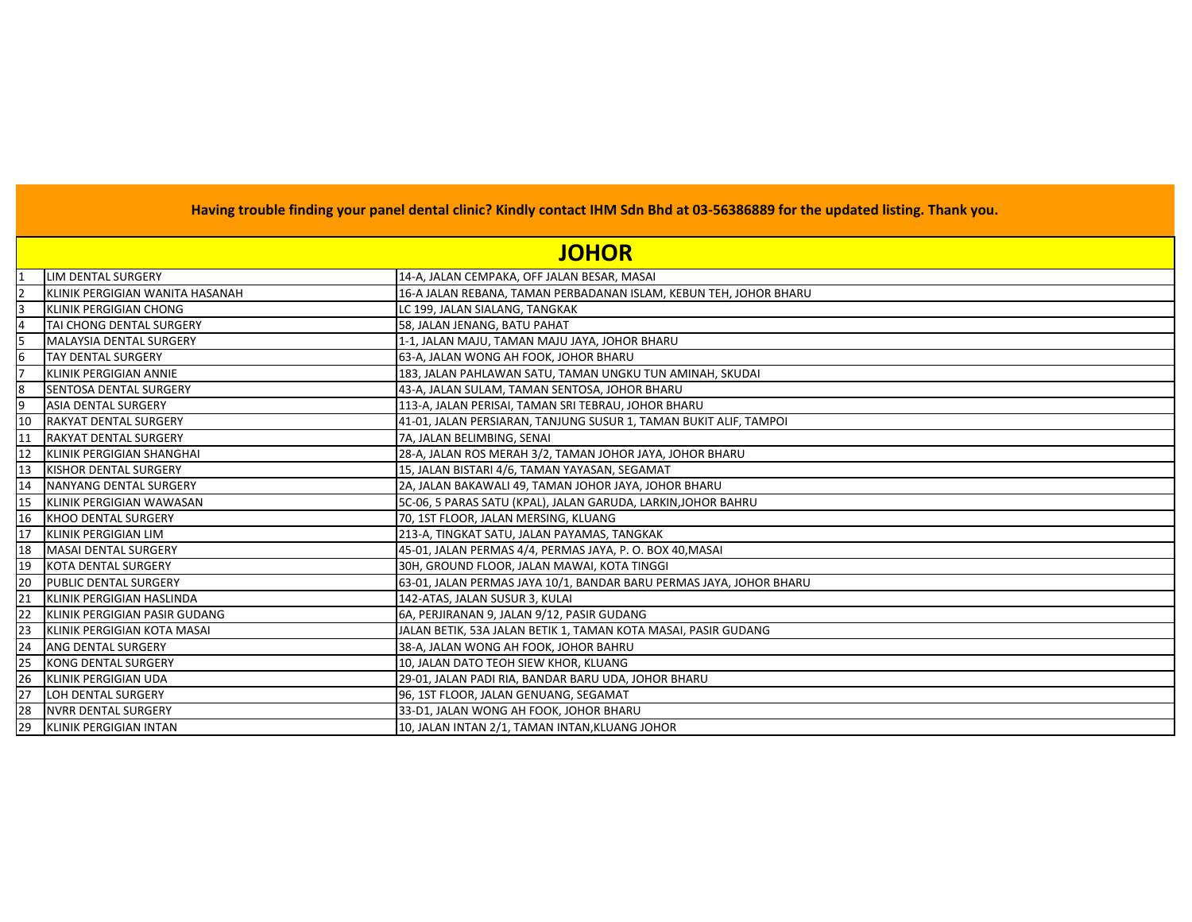|    | <b>JOHOR</b>                    |                                                                     |
|----|---------------------------------|---------------------------------------------------------------------|
|    | <b>LIM DENTAL SURGERY</b>       | 14-A, JALAN CEMPAKA, OFF JALAN BESAR, MASAI                         |
|    | KLINIK PERGIGIAN WANITA HASANAH | 16-A JALAN REBANA, TAMAN PERBADANAN ISLAM, KEBUN TEH, JOHOR BHARU   |
| 3  | <b>KLINIK PERGIGIAN CHONG</b>   | LC 199, JALAN SIALANG, TANGKAK                                      |
|    | TAI CHONG DENTAL SURGERY        | 58, JALAN JENANG, BATU PAHAT                                        |
| 15 | <b>MALAYSIA DENTAL SURGERY</b>  | 1-1, JALAN MAJU, TAMAN MAJU JAYA, JOHOR BHARU                       |
|    | <b>TAY DENTAL SURGERY</b>       | 63-A, JALAN WONG AH FOOK, JOHOR BHARU                               |
|    | <b>KLINIK PERGIGIAN ANNIE</b>   | 183, JALAN PAHLAWAN SATU, TAMAN UNGKU TUN AMINAH, SKUDAI            |
| 8  | <b>SENTOSA DENTAL SURGERY</b>   | 43-A, JALAN SULAM, TAMAN SENTOSA, JOHOR BHARU                       |
| 9  | <b>ASIA DENTAL SURGERY</b>      | 113-A, JALAN PERISAI, TAMAN SRI TEBRAU, JOHOR BHARU                 |
| 10 | <b>RAKYAT DENTAL SURGERY</b>    | 41-01, JALAN PERSIARAN, TANJUNG SUSUR 1, TAMAN BUKIT ALIF, TAMPOI   |
|    | <b>RAKYAT DENTAL SURGERY</b>    | 7A, JALAN BELIMBING, SENAI                                          |
| 12 | KLINIK PERGIGIAN SHANGHAI       | 28-A, JALAN ROS MERAH 3/2, TAMAN JOHOR JAYA, JOHOR BHARU            |
|    | <b>KISHOR DENTAL SURGERY</b>    | 15, JALAN BISTARI 4/6, TAMAN YAYASAN, SEGAMAT                       |
| 14 | NANYANG DENTAL SURGERY          | 2A, JALAN BAKAWALI 49, TAMAN JOHOR JAYA, JOHOR BHARU                |
| 15 | KLINIK PERGIGIAN WAWASAN        | 5C-06, 5 PARAS SATU (KPAL), JALAN GARUDA, LARKIN, JOHOR BAHRU       |
| 16 | <b>KHOO DENTAL SURGERY</b>      | 70, 1ST FLOOR, JALAN MERSING, KLUANG                                |
| 17 | KLINIK PERGIGIAN LIM            | 213-A, TINGKAT SATU, JALAN PAYAMAS, TANGKAK                         |
| 18 | MASAI DENTAL SURGERY            | 45-01, JALAN PERMAS 4/4, PERMAS JAYA, P. O. BOX 40, MASAI           |
| 19 | <b>KOTA DENTAL SURGERY</b>      | 30H, GROUND FLOOR, JALAN MAWAI, KOTA TINGGI                         |
| 20 | <b>PUBLIC DENTAL SURGERY</b>    | 63-01, JALAN PERMAS JAYA 10/1, BANDAR BARU PERMAS JAYA, JOHOR BHARU |
| 21 | KLINIK PERGIGIAN HASLINDA       | 142-ATAS, JALAN SUSUR 3, KULAI                                      |
| 22 | KLINIK PERGIGIAN PASIR GUDANG   | 6A, PERJIRANAN 9, JALAN 9/12, PASIR GUDANG                          |
| 23 | KLINIK PERGIGIAN KOTA MASAI     | JALAN BETIK, 53A JALAN BETIK 1, TAMAN KOTA MASAI, PASIR GUDANG      |
| 24 | ANG DENTAL SURGERY              | 38-A, JALAN WONG AH FOOK, JOHOR BAHRU                               |
| 25 | <b>KONG DENTAL SURGERY</b>      | 10, JALAN DATO TEOH SIEW KHOR, KLUANG                               |
| 26 | KLINIK PERGIGIAN UDA            | 29-01, JALAN PADI RIA, BANDAR BARU UDA, JOHOR BHARU                 |
| 27 | LOH DENTAL SURGERY              | 96, 1ST FLOOR, JALAN GENUANG, SEGAMAT                               |
| 28 | <b>NVRR DENTAL SURGERY</b>      | 33-D1, JALAN WONG AH FOOK, JOHOR BHARU                              |
| 29 | KLINIK PERGIGIAN INTAN          | 10, JALAN INTAN 2/1, TAMAN INTAN, KLUANG JOHOR                      |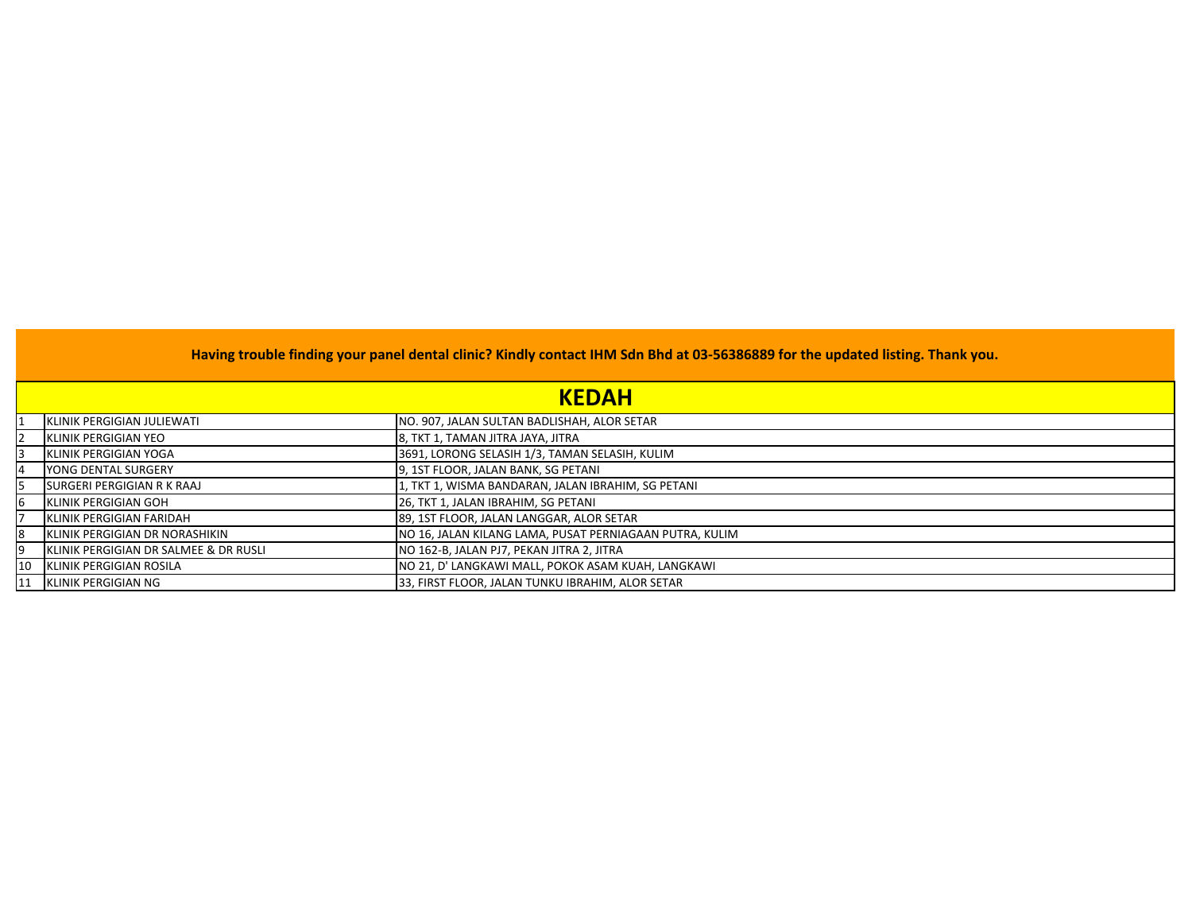|            | Having trouble finding your panel dental clinic? Kindly contact IHM Sdn Bhd at 03-56386889 for the updated listing. Thank you.<br><b>KEDAH</b> |                                                         |  |
|------------|------------------------------------------------------------------------------------------------------------------------------------------------|---------------------------------------------------------|--|
|            |                                                                                                                                                |                                                         |  |
|            | KLINIK PERGIGIAN JULIEWATI                                                                                                                     | NO. 907, JALAN SULTAN BADLISHAH, ALOR SETAR             |  |
|            | <b>IKLINIK PERGIGIAN YEO</b>                                                                                                                   | 8, TKT 1, TAMAN JITRA JAYA, JITRA                       |  |
|            | <b>IKLINIK PERGIGIAN YOGA</b>                                                                                                                  | 3691, LORONG SELASIH 1/3, TAMAN SELASIH, KULIM          |  |
| 14         | <b>IYONG DENTAL SURGERY</b>                                                                                                                    | 9, 1ST FLOOR, JALAN BANK, SG PETANI                     |  |
|            | ISURGERI PERGIGIAN R K RAAJ                                                                                                                    | 1, TKT 1, WISMA BANDARAN, JALAN IBRAHIM, SG PETANI      |  |
|            | <b>IKLINIK PERGIGIAN GOH</b>                                                                                                                   | 26, TKT 1, JALAN IBRAHIM, SG PETANI                     |  |
|            | <b>IKLINIK PERGIGIAN FARIDAH</b>                                                                                                               | 89, 1ST FLOOR, JALAN LANGGAR, ALOR SETAR                |  |
| 18         | KLINIK PERGIGIAN DR NORASHIKIN                                                                                                                 | NO 16, JALAN KILANG LAMA, PUSAT PERNIAGAAN PUTRA, KULIM |  |
|            | IKLINIK PERGIGIAN DR SALMEE & DR RUSLI                                                                                                         | NO 162-B, JALAN PJ7, PEKAN JITRA 2, JITRA               |  |
| <b>10</b>  | KLINIK PERGIGIAN ROSILA                                                                                                                        | NO 21, D' LANGKAWI MALL, POKOK ASAM KUAH, LANGKAWI      |  |
| <b>111</b> | KLINIK PERGIGIAN NG                                                                                                                            | 33, FIRST FLOOR, JALAN TUNKU IBRAHIM, ALOR SETAR        |  |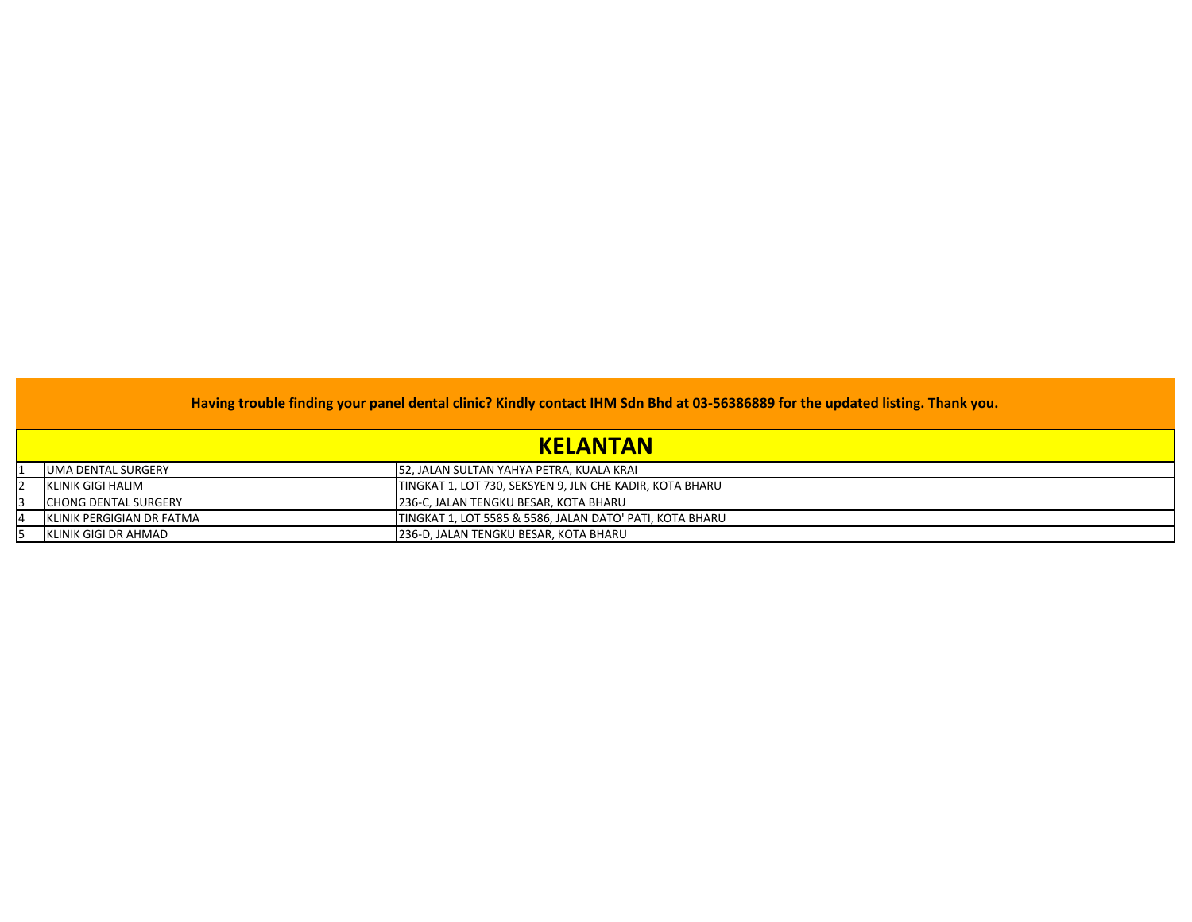| <b>KELANTAN</b>                   |                                                          |  |
|-----------------------------------|----------------------------------------------------------|--|
| <b>UMA DENTAL SURGERY</b>         | 52, JALAN SULTAN YAHYA PETRA, KUALA KRAI                 |  |
| KLINIK GIGI HALIM                 | TINGKAT 1, LOT 730, SEKSYEN 9, JLN CHE KADIR, KOTA BHARU |  |
| <b>CHONG DENTAL SURGERY</b>       | 236-C, JALAN TENGKU BESAR, KOTA BHARU                    |  |
| <b>IKLINIK PERGIGIAN DR FATMA</b> | TINGKAT 1, LOT 5585 & 5586, JALAN DATO' PATI, KOTA BHARU |  |
| <b>KLINIK GIGI DR AHMAD</b>       | 236-D, JALAN TENGKU BESAR, KOTA BHARU                    |  |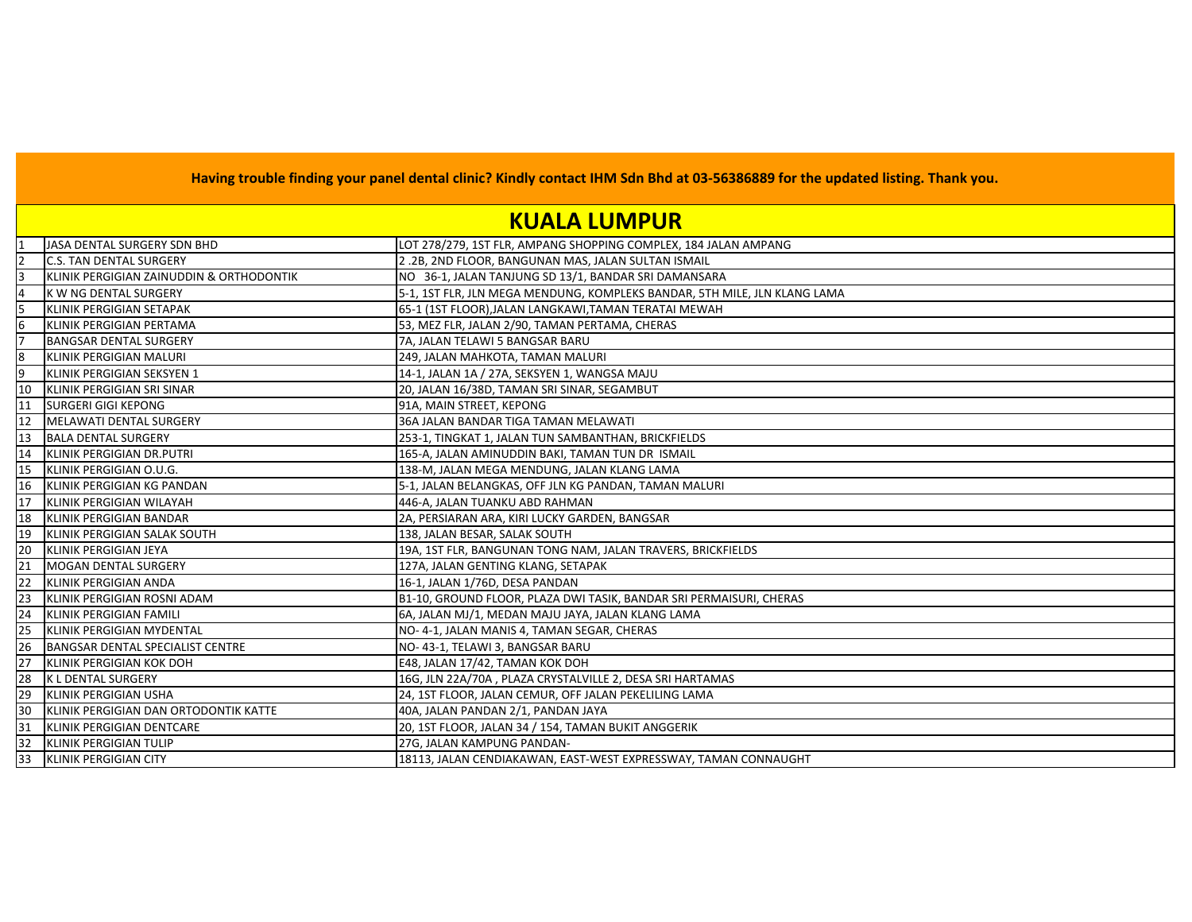## **KUALA LUMPUR**

|    | JASA DENTAL SURGERY SDN BHD              | LOT 278/279, 1ST FLR, AMPANG SHOPPING COMPLEX, 184 JALAN AMPANG           |
|----|------------------------------------------|---------------------------------------------------------------------------|
|    | <b>C.S. TAN DENTAL SURGERY</b>           | 2.2B, 2ND FLOOR, BANGUNAN MAS, JALAN SULTAN ISMAIL                        |
|    | KLINIK PERGIGIAN ZAINUDDIN & ORTHODONTIK | NO 36-1, JALAN TANJUNG SD 13/1, BANDAR SRI DAMANSARA                      |
|    | K W NG DENTAL SURGERY                    | 5-1, 1ST FLR, JLN MEGA MENDUNG, KOMPLEKS BANDAR, 5TH MILE, JLN KLANG LAMA |
|    | KLINIK PERGIGIAN SETAPAK                 | 65-1 (1ST FLOOR), JALAN LANGKAWI, TAMAN TERATAI MEWAH                     |
| 6  | KLINIK PERGIGIAN PERTAMA                 | 53, MEZ FLR, JALAN 2/90, TAMAN PERTAMA, CHERAS                            |
|    | <b>BANGSAR DENTAL SURGERY</b>            | 7A, JALAN TELAWI 5 BANGSAR BARU                                           |
| 8  | KLINIK PERGIGIAN MALURI                  | 249, JALAN MAHKOTA, TAMAN MALURI                                          |
| 9  | KLINIK PERGIGIAN SEKSYEN 1               | 14-1, JALAN 1A / 27A, SEKSYEN 1, WANGSA MAJU                              |
| 10 | KLINIK PERGIGIAN SRI SINAR               | 20, JALAN 16/38D, TAMAN SRI SINAR, SEGAMBUT                               |
| 11 | <b>SURGERI GIGI KEPONG</b>               | 91A, MAIN STREET, KEPONG                                                  |
| 12 | <b>MELAWATI DENTAL SURGERY</b>           | 36A JALAN BANDAR TIGA TAMAN MELAWATI                                      |
| 13 | <b>BALA DENTAL SURGERY</b>               | 253-1, TINGKAT 1, JALAN TUN SAMBANTHAN, BRICKFIELDS                       |
| 14 | KLINIK PERGIGIAN DR.PUTRI                | 165-A, JALAN AMINUDDIN BAKI, TAMAN TUN DR ISMAIL                          |
| 15 | KLINIK PERGIGIAN O.U.G.                  | 138-M, JALAN MEGA MENDUNG, JALAN KLANG LAMA                               |
| 16 | KLINIK PERGIGIAN KG PANDAN               | 5-1, JALAN BELANGKAS, OFF JLN KG PANDAN, TAMAN MALURI                     |
| 17 | <b>IKLINIK PERGIGIAN WILAYAH</b>         | 446-A, JALAN TUANKU ABD RAHMAN                                            |
| 18 | KLINIK PERGIGIAN BANDAR                  | 2A, PERSIARAN ARA, KIRI LUCKY GARDEN, BANGSAR                             |
| 19 | KLINIK PERGIGIAN SALAK SOUTH             | 138, JALAN BESAR, SALAK SOUTH                                             |
| 20 | KLINIK PERGIGIAN JEYA                    | 19A, 1ST FLR, BANGUNAN TONG NAM, JALAN TRAVERS, BRICKFIELDS               |
| 21 | <b>MOGAN DENTAL SURGERY</b>              | 127A, JALAN GENTING KLANG, SETAPAK                                        |
| 22 | KLINIK PERGIGIAN ANDA                    | 16-1, JALAN 1/76D, DESA PANDAN                                            |
| 23 | KLINIK PERGIGIAN ROSNI ADAM              | B1-10, GROUND FLOOR, PLAZA DWI TASIK, BANDAR SRI PERMAISURI, CHERAS       |
| 24 | KLINIK PERGIGIAN FAMILI                  | 6A, JALAN MJ/1, MEDAN MAJU JAYA, JALAN KLANG LAMA                         |
| 25 | KLINIK PERGIGIAN MYDENTAL                | NO-4-1, JALAN MANIS 4, TAMAN SEGAR, CHERAS                                |
| 26 | BANGSAR DENTAL SPECIALIST CENTRE         | NO-43-1, TELAWI 3, BANGSAR BARU                                           |
| 27 | KLINIK PERGIGIAN KOK DOH                 | E48, JALAN 17/42, TAMAN KOK DOH                                           |
| 28 | <b>K L DENTAL SURGERY</b>                | 16G, JLN 22A/70A, PLAZA CRYSTALVILLE 2, DESA SRI HARTAMAS                 |
| 29 | <b>KLINIK PERGIGIAN USHA</b>             | 24, 1ST FLOOR, JALAN CEMUR, OFF JALAN PEKELILING LAMA                     |
| 30 | KLINIK PERGIGIAN DAN ORTODONTIK KATTE    | 40A, JALAN PANDAN 2/1, PANDAN JAYA                                        |
| 31 | KLINIK PERGIGIAN DENTCARE                | 20, 1ST FLOOR, JALAN 34 / 154, TAMAN BUKIT ANGGERIK                       |
| 32 | KLINIK PERGIGIAN TULIP                   | 27G, JALAN KAMPUNG PANDAN-                                                |
| 33 | <b>KLINIK PERGIGIAN CITY</b>             | 18113, JALAN CENDIAKAWAN, EAST-WEST EXPRESSWAY, TAMAN CONNAUGHT           |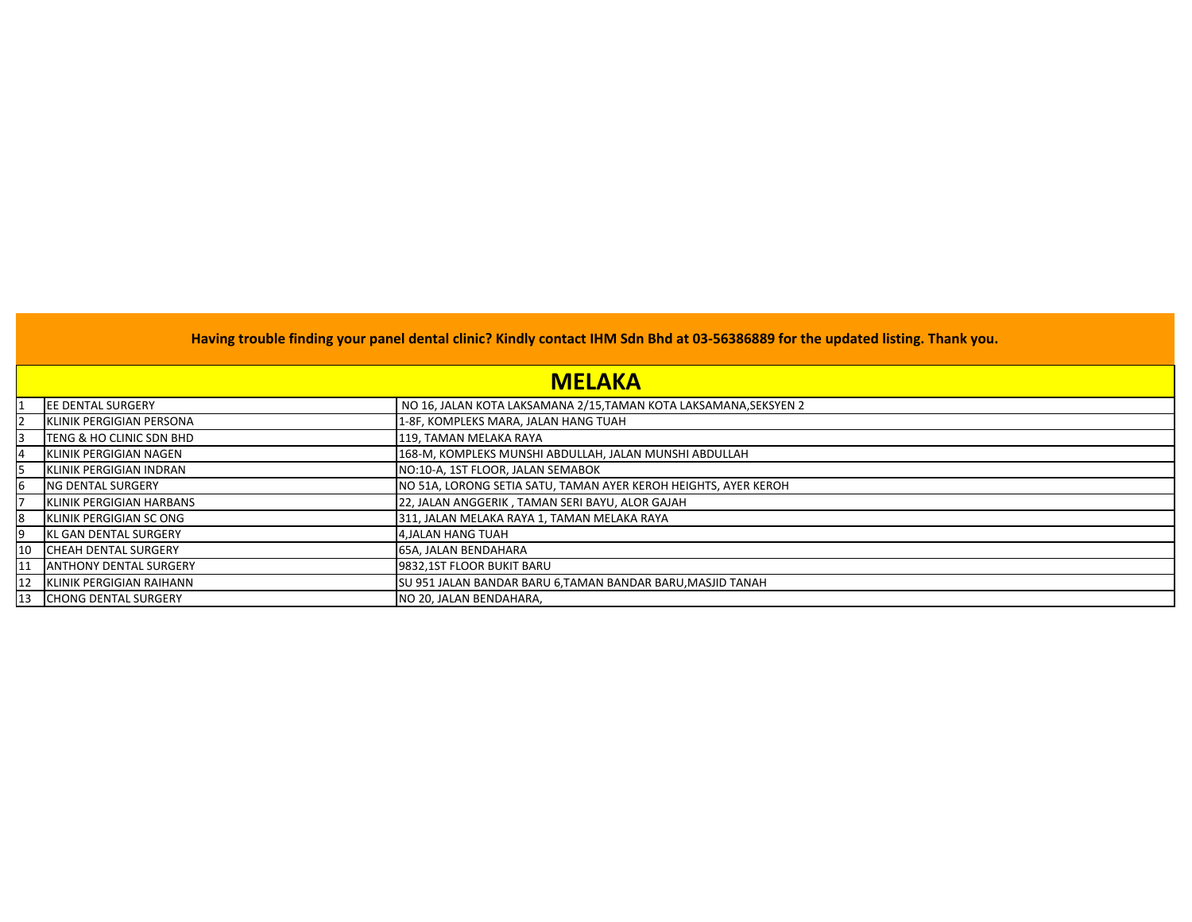|    | <b>MELAKA</b>                    |                                                                  |  |
|----|----------------------------------|------------------------------------------------------------------|--|
|    | <b>JEE DENTAL SURGERY</b>        | NO 16, JALAN KOTA LAKSAMANA 2/15,TAMAN KOTA LAKSAMANA,SEKSYEN 2  |  |
|    | KLINIK PERGIGIAN PERSONA         | 1-8F, KOMPLEKS MARA, JALAN HANG TUAH                             |  |
|    | TENG & HO CLINIC SDN BHD         | 119, TAMAN MELAKA RAYA                                           |  |
|    | <b>KLINIK PERGIGIAN NAGEN</b>    | 168-M, KOMPLEKS MUNSHI ABDULLAH, JALAN MUNSHI ABDULLAH           |  |
|    | <b>KLINIK PERGIGIAN INDRAN</b>   | NO:10-A, 1ST FLOOR, JALAN SEMABOK                                |  |
|    | ING DENTAL SURGERY               | INO 51A, LORONG SETIA SATU, TAMAN AYER KEROH HEIGHTS, AYER KEROH |  |
|    | <b>IKLINIK PERGIGIAN HARBANS</b> | 22, JALAN ANGGERIK, TAMAN SERI BAYU, ALOR GAJAH                  |  |
| 18 | KLINIK PERGIGIAN SC ONG          | 311, JALAN MELAKA RAYA 1, TAMAN MELAKA RAYA                      |  |
| Ι9 | <b>IKL GAN DENTAL SURGERY</b>    | 4, JALAN HANG TUAH                                               |  |
|    | 10 ICHEAH DENTAL SURGERY         | 65A, JALAN BENDAHARA                                             |  |
| 11 | <b>ANTHONY DENTAL SURGERY</b>    | 9832,1ST FLOOR BUKIT BARU                                        |  |
|    | 12 KLINIK PERGIGIAN RAIHANN      | SU 951 JALAN BANDAR BARU 6,TAMAN BANDAR BARU, MASJID TANAH       |  |
|    | 13 CHONG DENTAL SURGERY          | INO 20. JALAN BENDAHARA.                                         |  |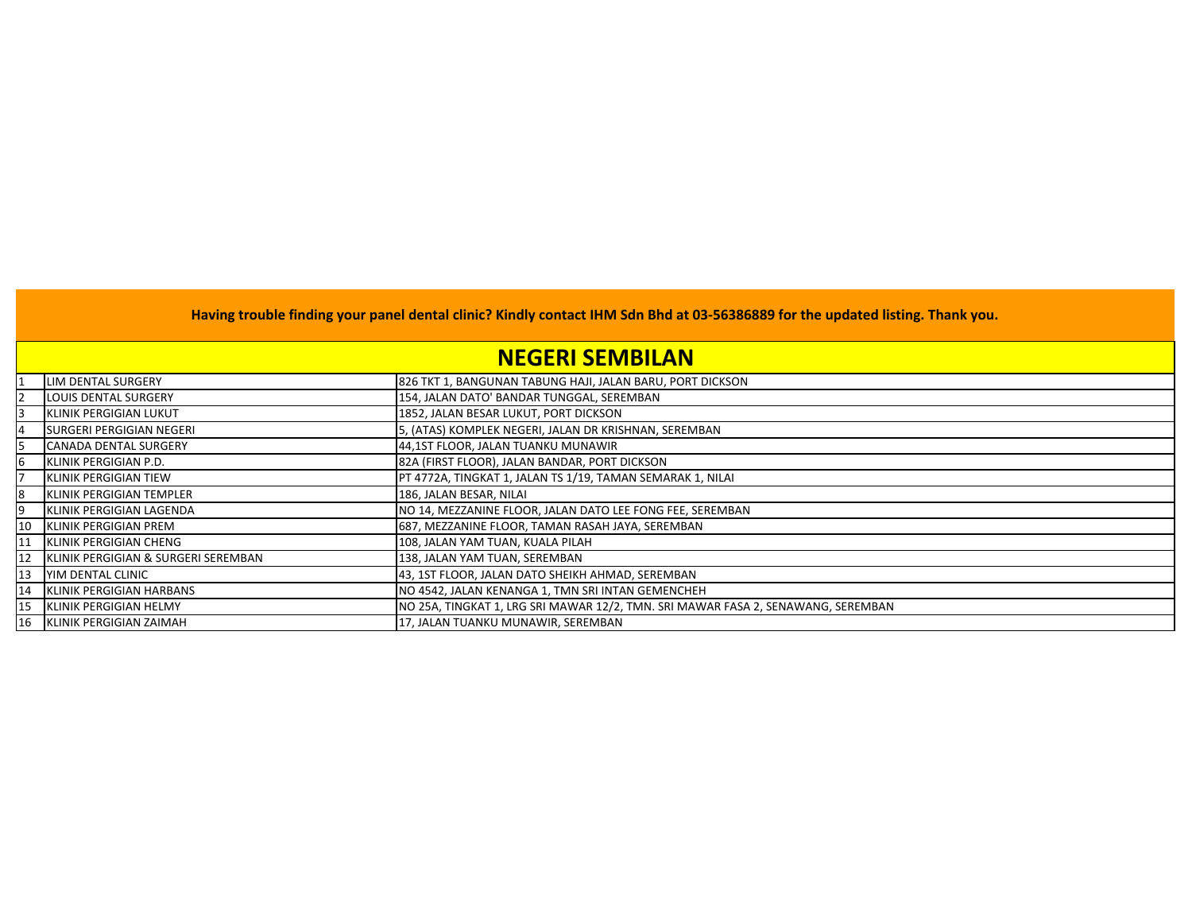## **NEGERI SEMBILAN**

|    | LIM DENTAL SURGERY                  | 826 TKT 1, BANGUNAN TABUNG HAJI, JALAN BARU, PORT DICKSON                        |
|----|-------------------------------------|----------------------------------------------------------------------------------|
|    | <b>LOUIS DENTAL SURGERY</b>         | 154, JALAN DATO' BANDAR TUNGGAL, SEREMBAN                                        |
| 13 | <b>IKLINIK PERGIGIAN LUKUT</b>      | 1852, JALAN BESAR LUKUT, PORT DICKSON                                            |
|    | SURGERI PERGIGIAN NEGERI            | 5, (ATAS) KOMPLEK NEGERI, JALAN DR KRISHNAN, SEREMBAN                            |
|    | <b>CANADA DENTAL SURGERY</b>        | 44,1ST FLOOR, JALAN TUANKU MUNAWIR                                               |
| 6  | <b>KLINIK PERGIGIAN P.D.</b>        | 82A (FIRST FLOOR), JALAN BANDAR, PORT DICKSON                                    |
|    | KLINIK PERGIGIAN TIEW               | PT 4772A, TINGKAT 1, JALAN TS 1/19, TAMAN SEMARAK 1, NILAI                       |
| 8  | <b>IKLINIK PERGIGIAN TEMPLER</b>    | 186, JALAN BESAR, NILAI                                                          |
|    | KLINIK PERGIGIAN LAGENDA            | NO 14, MEZZANINE FLOOR, JALAN DATO LEE FONG FEE, SEREMBAN                        |
| 10 | KLINIK PERGIGIAN PREM               | 687, MEZZANINE FLOOR, TAMAN RASAH JAYA, SEREMBAN                                 |
| 11 | KLINIK PERGIGIAN CHENG              | 108, JALAN YAM TUAN, KUALA PILAH                                                 |
| 12 | KLINIK PERGIGIAN & SURGERI SEREMBAN | 138, JALAN YAM TUAN, SEREMBAN                                                    |
| 13 | <b>YIM DENTAL CLINIC</b>            | 43, 1ST FLOOR, JALAN DATO SHEIKH AHMAD, SEREMBAN                                 |
| 14 | KLINIK PERGIGIAN HARBANS            | NO 4542, JALAN KENANGA 1, TMN SRI INTAN GEMENCHEH                                |
| 15 | KLINIK PERGIGIAN HELMY              | NO 25A, TINGKAT 1, LRG SRI MAWAR 12/2, TMN. SRI MAWAR FASA 2, SENAWANG, SEREMBAN |
|    | 16 KLINIK PERGIGIAN ZAIMAH          | 17, JALAN TUANKU MUNAWIR, SEREMBAN                                               |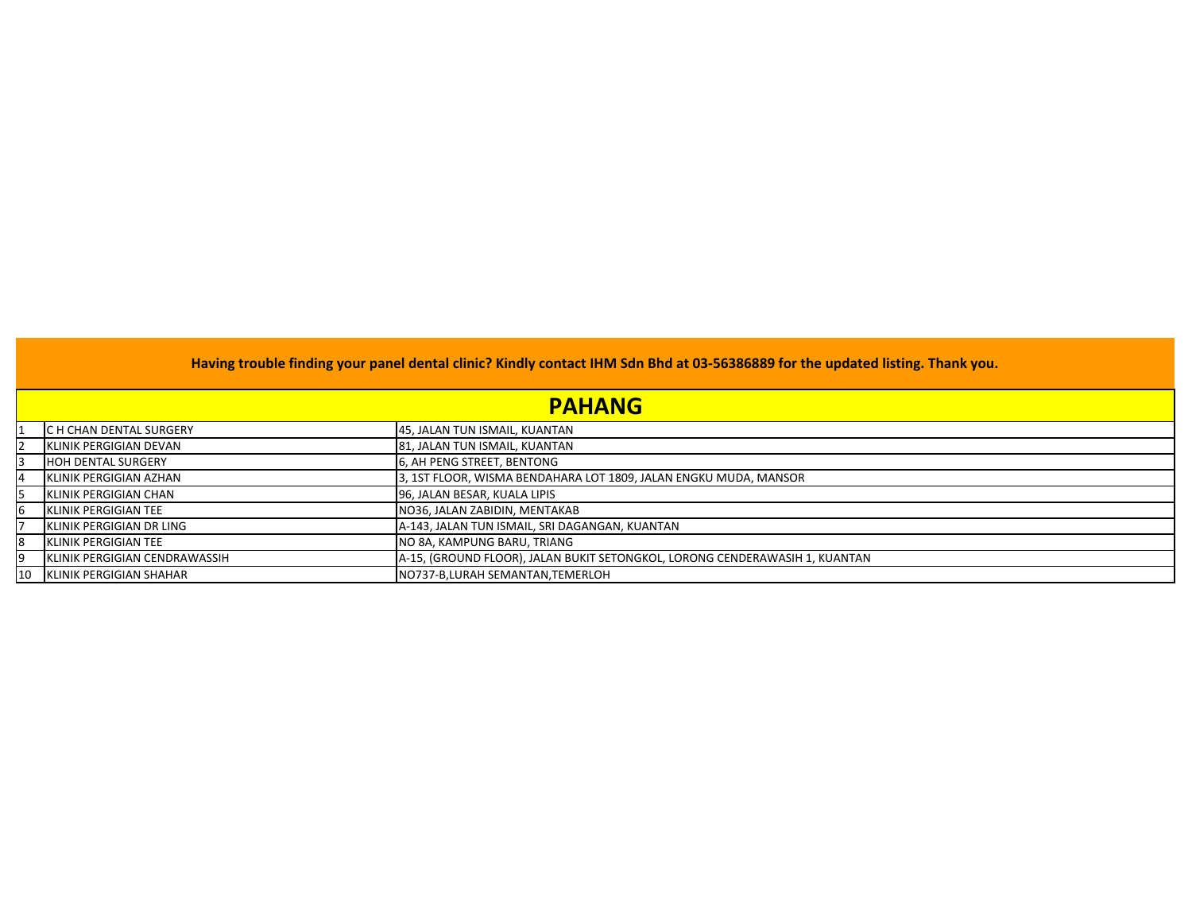|    | <b>PAHANG</b>                 |                                                                             |  |
|----|-------------------------------|-----------------------------------------------------------------------------|--|
|    | C H CHAN DENTAL SURGERY       | 45, JALAN TUN ISMAIL, KUANTAN                                               |  |
| 12 | KLINIK PERGIGIAN DEVAN        | 81, JALAN TUN ISMAIL, KUANTAN                                               |  |
| 13 | <b>HOH DENTAL SURGERY</b>     | 6, AH PENG STREET, BENTONG                                                  |  |
| 14 | KLINIK PERGIGIAN AZHAN        | 3, 1ST FLOOR, WISMA BENDAHARA LOT 1809, JALAN ENGKU MUDA, MANSOR            |  |
| I5 | KLINIK PERGIGIAN CHAN         | 96, JALAN BESAR, KUALA LIPIS                                                |  |
| 6  | KLINIK PERGIGIAN TEE          | NO36, JALAN ZABIDIN, MENTAKAB                                               |  |
|    | IKLINIK PERGIGIAN DR LING     | A-143, JALAN TUN ISMAIL, SRI DAGANGAN, KUANTAN                              |  |
| 8  | IKLINIK PERGIGIAN TEE         | NO 8A, KAMPUNG BARU, TRIANG                                                 |  |
| 19 | KLINIK PERGIGIAN CENDRAWASSIH | A-15, (GROUND FLOOR), JALAN BUKIT SETONGKOL, LORONG CENDERAWASIH 1, KUANTAN |  |
| 10 | KLINIK PERGIGIAN SHAHAR       | NO737-B,LURAH SEMANTAN,TEMERLOH                                             |  |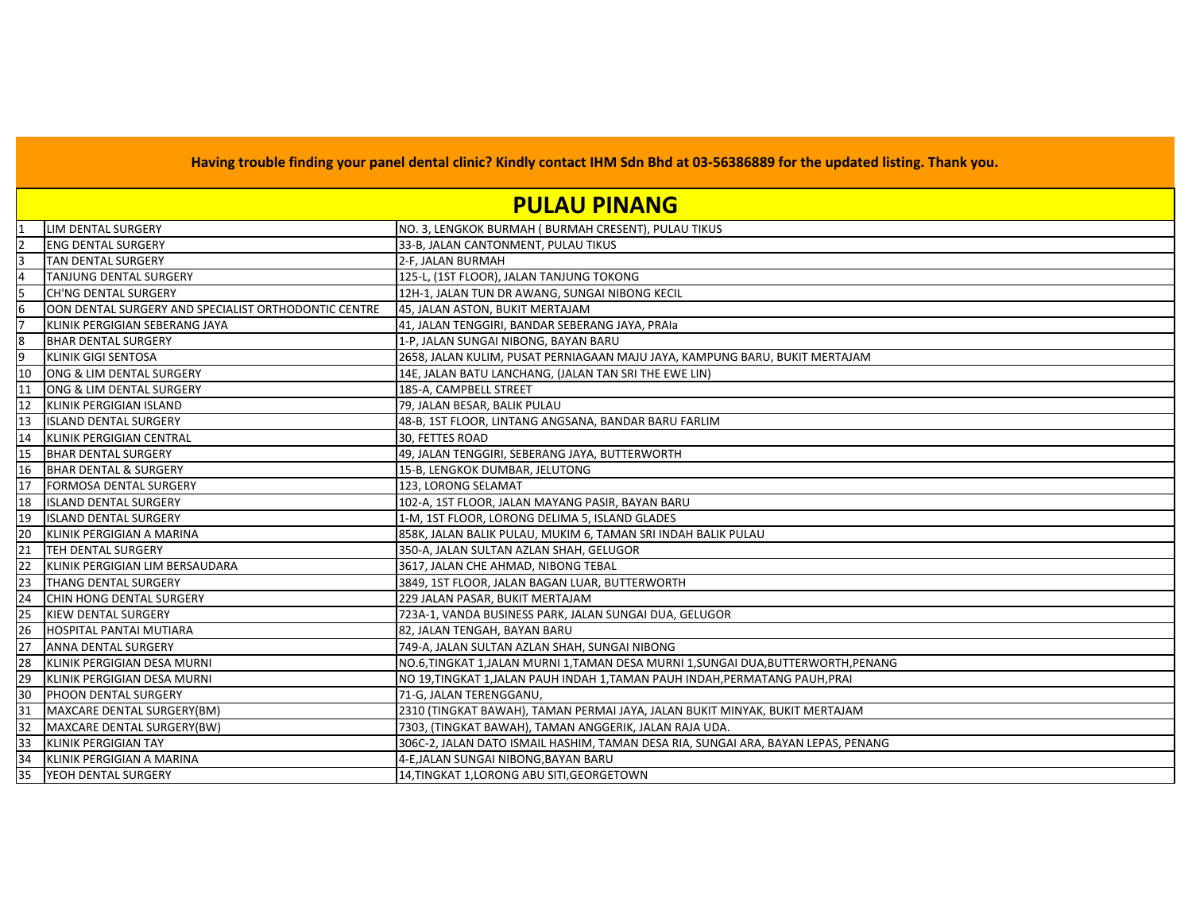## **PULAU PINANG**

|                 | LIM DENTAL SURGERY                                   | NO. 3, LENGKOK BURMAH (BURMAH CRESENT), PULAU TIKUS                               |
|-----------------|------------------------------------------------------|-----------------------------------------------------------------------------------|
| $\overline{2}$  | <b>ENG DENTAL SURGERY</b>                            | 33-B, JALAN CANTONMENT, PULAU TIKUS                                               |
| 3               | <b>TAN DENTAL SURGERY</b>                            | 2-F, JALAN BURMAH                                                                 |
| 4               | <b>TANJUNG DENTAL SURGERY</b>                        | 125-L, (1ST FLOOR), JALAN TANJUNG TOKONG                                          |
| 5               | CH'NG DENTAL SURGERY                                 | 12H-1, JALAN TUN DR AWANG, SUNGAI NIBONG KECIL                                    |
| $6\overline{6}$ | OON DENTAL SURGERY AND SPECIALIST ORTHODONTIC CENTRE | 45, JALAN ASTON, BUKIT MERTAJAM                                                   |
| 17              | KLINIK PERGIGIAN SEBERANG JAYA                       | 41, JALAN TENGGIRI, BANDAR SEBERANG JAYA, PRAIa                                   |
| 8               | <b>BHAR DENTAL SURGERY</b>                           | 1-P, JALAN SUNGAI NIBONG, BAYAN BARU                                              |
| 9               | <b>KLINIK GIGI SENTOSA</b>                           | 2658, JALAN KULIM, PUSAT PERNIAGAAN MAJU JAYA, KAMPUNG BARU, BUKIT MERTAJAM       |
| 10              | ONG & LIM DENTAL SURGERY                             | 14E, JALAN BATU LANCHANG, (JALAN TAN SRI THE EWE LIN)                             |
| 11              | ONG & LIM DENTAL SURGERY                             | 185-A, CAMPBELL STREET                                                            |
| 12              | <b>KLINIK PERGIGIAN ISLAND</b>                       | 79, JALAN BESAR, BALIK PULAU                                                      |
| 13              | <b>ISLAND DENTAL SURGERY</b>                         | 48-B, 1ST FLOOR, LINTANG ANGSANA, BANDAR BARU FARLIM                              |
| 14              | KLINIK PERGIGIAN CENTRAL                             | 30, FETTES ROAD                                                                   |
| 15              | <b>BHAR DENTAL SURGERY</b>                           | 49, JALAN TENGGIRI, SEBERANG JAYA, BUTTERWORTH                                    |
| 16              | <b>BHAR DENTAL &amp; SURGERY</b>                     | 15-B, LENGKOK DUMBAR, JELUTONG                                                    |
| 17              | <b>FORMOSA DENTAL SURGERY</b>                        | 123, LORONG SELAMAT                                                               |
| 18              | <b>ISLAND DENTAL SURGERY</b>                         | 102-A, 1ST FLOOR, JALAN MAYANG PASIR, BAYAN BARU                                  |
| 19              | <b>ISLAND DENTAL SURGERY</b>                         | 1-M, 1ST FLOOR, LORONG DELIMA 5, ISLAND GLADES                                    |
| 20              | KLINIK PERGIGIAN A MARINA                            | 858K, JALAN BALIK PULAU, MUKIM 6, TAMAN SRI INDAH BALIK PULAU                     |
| $\overline{21}$ | <b>TEH DENTAL SURGERY</b>                            | 350-A, JALAN SULTAN AZLAN SHAH, GELUGOR                                           |
| 22              | KLINIK PERGIGIAN LIM BERSAUDARA                      | 3617, JALAN CHE AHMAD, NIBONG TEBAL                                               |
| 23              | <b>THANG DENTAL SURGERY</b>                          | 3849, 1ST FLOOR, JALAN BAGAN LUAR, BUTTERWORTH                                    |
| 24              | CHIN HONG DENTAL SURGERY                             | 229 JALAN PASAR, BUKIT MERTAJAM                                                   |
| 25              | <b>KIEW DENTAL SURGERY</b>                           | 723A-1, VANDA BUSINESS PARK, JALAN SUNGAI DUA, GELUGOR                            |
| 26              | <b>HOSPITAL PANTAI MUTIARA</b>                       | 82, JALAN TENGAH, BAYAN BARU                                                      |
| 27              | <b>ANNA DENTAL SURGERY</b>                           | 749-A, JALAN SULTAN AZLAN SHAH, SUNGAI NIBONG                                     |
| 28              | KLINIK PERGIGIAN DESA MURNI                          | NO.6,TINGKAT 1,JALAN MURNI 1,TAMAN DESA MURNI 1,SUNGAI DUA,BUTTERWORTH,PENANG     |
| 29              | KLINIK PERGIGIAN DESA MURNI                          | NO 19,TINGKAT 1,JALAN PAUH INDAH 1,TAMAN PAUH INDAH,PERMATANG PAUH,PRAI           |
| 30              | PHOON DENTAL SURGERY                                 | 71-G, JALAN TERENGGANU,                                                           |
| 31              | MAXCARE DENTAL SURGERY(BM)                           | 2310 (TINGKAT BAWAH), TAMAN PERMAI JAYA, JALAN BUKIT MINYAK, BUKIT MERTAJAM       |
| 32              | MAXCARE DENTAL SURGERY(BW)                           | 7303, (TINGKAT BAWAH), TAMAN ANGGERIK, JALAN RAJA UDA.                            |
| 33              | KLINIK PERGIGIAN TAY                                 | 306C-2, JALAN DATO ISMAIL HASHIM, TAMAN DESA RIA, SUNGAI ARA, BAYAN LEPAS, PENANG |
| 34              | KLINIK PERGIGIAN A MARINA                            | 4-E, JALAN SUNGAI NIBONG, BAYAN BARU                                              |
| 35              | YEOH DENTAL SURGERY                                  | 14, TINGKAT 1, LORONG ABU SITI, GEORGETOWN                                        |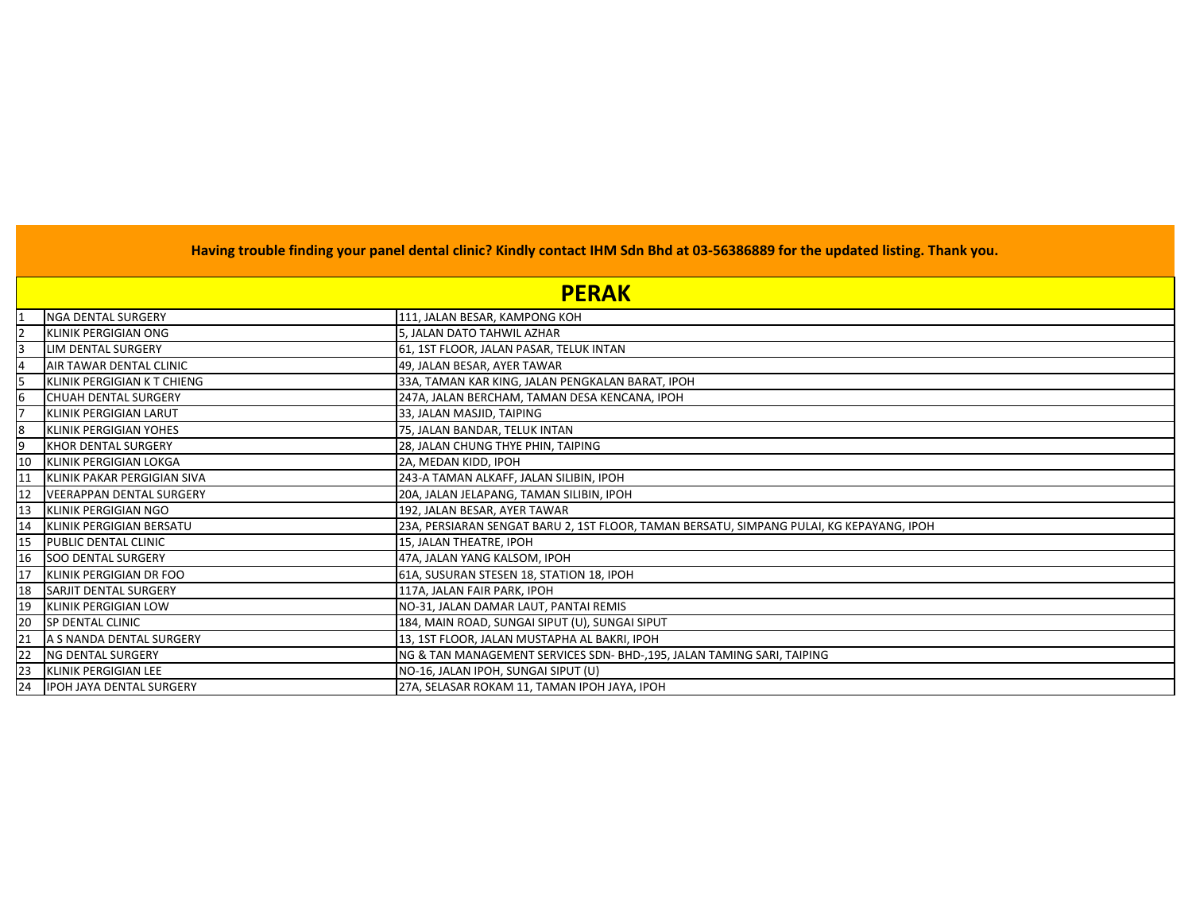|           | <b>PERAK</b>                    |                                                                                          |
|-----------|---------------------------------|------------------------------------------------------------------------------------------|
|           | <b>NGA DENTAL SURGERY</b>       | 111, JALAN BESAR, KAMPONG KOH                                                            |
|           | <b>KLINIK PERGIGIAN ONG</b>     | 5, JALAN DATO TAHWIL AZHAR                                                               |
|           | LIM DENTAL SURGERY              | 61, 1ST FLOOR, JALAN PASAR, TELUK INTAN                                                  |
|           | AIR TAWAR DENTAL CLINIC         | 49, JALAN BESAR, AYER TAWAR                                                              |
|           | KLINIK PERGIGIAN K T CHIENG     | 33A, TAMAN KAR KING, JALAN PENGKALAN BARAT, IPOH                                         |
|           | <b>CHUAH DENTAL SURGERY</b>     | 247A, JALAN BERCHAM, TAMAN DESA KENCANA, IPOH                                            |
|           | KLINIK PERGIGIAN LARUT          | 33, JALAN MASJID, TAIPING                                                                |
| 8         | KLINIK PERGIGIAN YOHES          | 75, JALAN BANDAR, TELUK INTAN                                                            |
| lg        | KHOR DENTAL SURGERY             | 28, JALAN CHUNG THYE PHIN, TAIPING                                                       |
| 10        | KLINIK PERGIGIAN LOKGA          | 2A, MEDAN KIDD, IPOH                                                                     |
| 11        | KLINIK PAKAR PERGIGIAN SIVA     | 243-A TAMAN ALKAFF, JALAN SILIBIN, IPOH                                                  |
| <b>12</b> | <b>VEERAPPAN DENTAL SURGERY</b> | 20A, JALAN JELAPANG, TAMAN SILIBIN, IPOH                                                 |
| 13        | KLINIK PERGIGIAN NGO            | 192, JALAN BESAR, AYER TAWAR                                                             |
| 14        | KLINIK PERGIGIAN BERSATU        | 23A, PERSIARAN SENGAT BARU 2, 1ST FLOOR, TAMAN BERSATU, SIMPANG PULAI, KG KEPAYANG, IPOH |
| 15        | PUBLIC DENTAL CLINIC            | 15, JALAN THEATRE, IPOH                                                                  |
| 16        | <b>SOO DENTAL SURGERY</b>       | 47A, JALAN YANG KALSOM, IPOH                                                             |
| 17        | KLINIK PERGIGIAN DR FOO         | 61A, SUSURAN STESEN 18, STATION 18, IPOH                                                 |
| 18        | SARJIT DENTAL SURGERY           | 117A, JALAN FAIR PARK, IPOH                                                              |
| <b>19</b> | <b>KLINIK PERGIGIAN LOW</b>     | NO-31, JALAN DAMAR LAUT, PANTAI REMIS                                                    |
| 20        | SP DENTAL CLINIC                | 184, MAIN ROAD, SUNGAI SIPUT (U), SUNGAI SIPUT                                           |
| 21        | A S NANDA DENTAL SURGERY        | 13, 1ST FLOOR, JALAN MUSTAPHA AL BAKRI, IPOH                                             |
| 22        | NG DENTAL SURGERY               | NG & TAN MANAGEMENT SERVICES SDN- BHD-, 195, JALAN TAMING SARI, TAIPING                  |
| 23        | KLINIK PERGIGIAN LEE            | NO-16, JALAN IPOH, SUNGAI SIPUT (U)                                                      |
| 24        | <b>IPOH JAYA DENTAL SURGERY</b> | 27A, SELASAR ROKAM 11, TAMAN IPOH JAYA, IPOH                                             |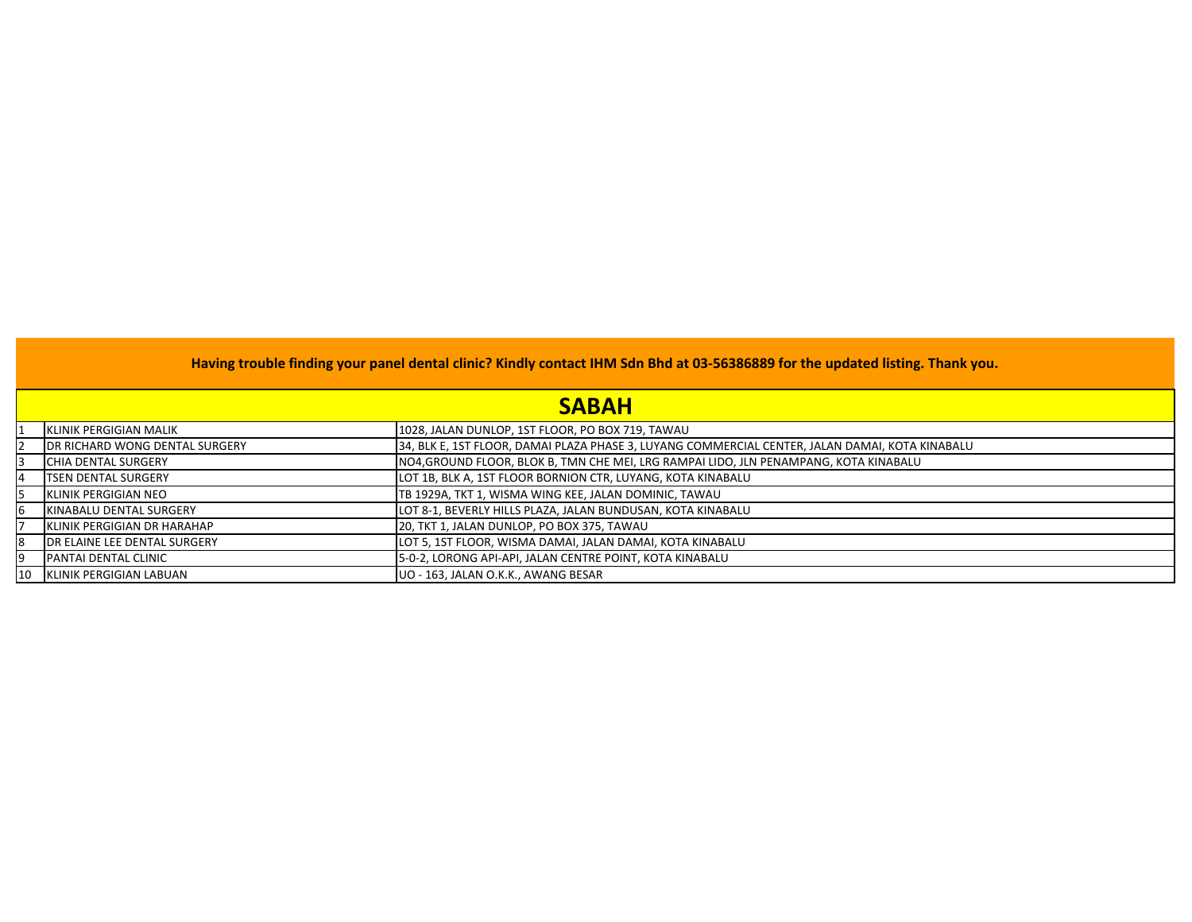|            | <b>SABAH</b>                         |                                                                                                 |  |
|------------|--------------------------------------|-------------------------------------------------------------------------------------------------|--|
|            | KLINIK PERGIGIAN MALIK               | 1028, JALAN DUNLOP, 1ST FLOOR, PO BOX 719, TAWAU                                                |  |
| 12         | DR RICHARD WONG DENTAL SURGERY       | 34, BLK E, 1ST FLOOR, DAMAI PLAZA PHASE 3, LUYANG COMMERCIAL CENTER, JALAN DAMAI, KOTA KINABALU |  |
| I3         | <b>ICHIA DENTAL SURGERY</b>          | NO4,GROUND FLOOR, BLOK B, TMN CHE MEI, LRG RAMPAI LIDO, JLN PENAMPANG, KOTA KINABALU            |  |
| 4          | <b>ITSEN DENTAL SURGERY</b>          | LOT 1B, BLK A, 1ST FLOOR BORNION CTR, LUYANG, KOTA KINABALU                                     |  |
| 15         | KLINIK PERGIGIAN NEO                 | TB 1929A, TKT 1, WISMA WING KEE, JALAN DOMINIC, TAWAU                                           |  |
| 16         | KINABALU DENTAL SURGERY              | LOT 8-1, BEVERLY HILLS PLAZA, JALAN BUNDUSAN, KOTA KINABALU                                     |  |
|            | KLINIK PERGIGIAN DR HARAHAP          | 20, TKT 1, JALAN DUNLOP, PO BOX 375, TAWAU                                                      |  |
| 18         | <b>IDR ELAINE LEE DENTAL SURGERY</b> | LOT 5, 1ST FLOOR, WISMA DAMAI, JALAN DAMAI, KOTA KINABALU                                       |  |
| 19         | <b>PANTAI DENTAL CLINIC</b>          | 5-0-2, LORONG API-API, JALAN CENTRE POINT, KOTA KINABALU                                        |  |
| <b>110</b> | KLINIK PERGIGIAN LABUAN              | UO - 163, JALAN O.K.K., AWANG BESAR                                                             |  |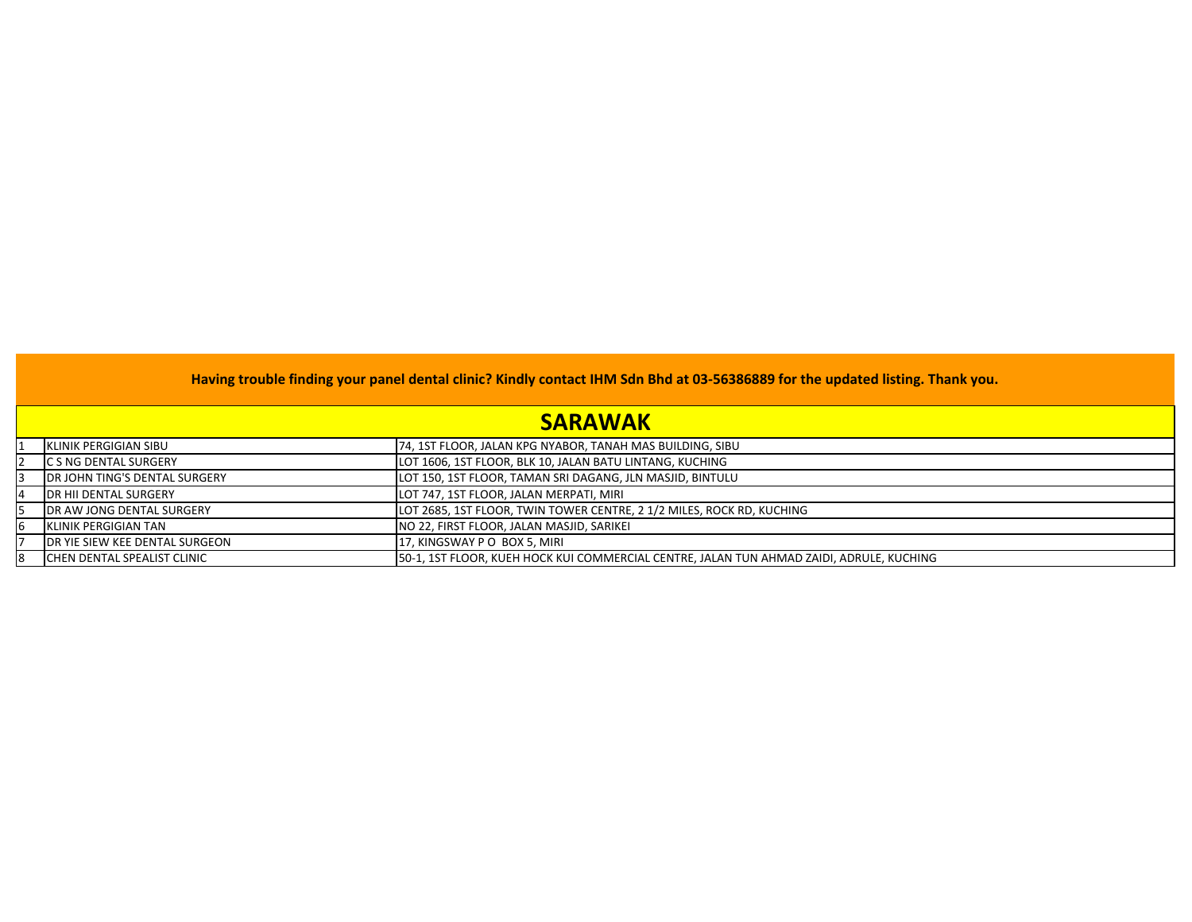|   | <b>SARAWAK</b>                         |                                                                                          |  |
|---|----------------------------------------|------------------------------------------------------------------------------------------|--|
|   | <b>IKLINIK PERGIGIAN SIBU</b>          | 74, 1ST FLOOR, JALAN KPG NYABOR, TANAH MAS BUILDING, SIBU                                |  |
|   | <b>ICS NG DENTAL SURGERY</b>           | LOT 1606, 1ST FLOOR, BLK 10, JALAN BATU LINTANG, KUCHING                                 |  |
|   | <b>IDR JOHN TING'S DENTAL SURGERY</b>  | LOT 150, 1ST FLOOR, TAMAN SRI DAGANG, JLN MASJID, BINTULU                                |  |
| 4 | <b>IDR HII DENTAL SURGERY</b>          | LOT 747, 1ST FLOOR, JALAN MERPATI, MIRI                                                  |  |
|   | <b>IDR AW JONG DENTAL SURGERY</b>      | LOT 2685, 1ST FLOOR, TWIN TOWER CENTRE, 2 1/2 MILES, ROCK RD, KUCHING                    |  |
| 6 | <b>IKLINIK PERGIGIAN TAN</b>           | NO 22, FIRST FLOOR, JALAN MASJID, SARIKEI                                                |  |
|   | <b>IDR YIE SIEW KEE DENTAL SURGEON</b> | 17, KINGSWAY P O BOX 5, MIRI                                                             |  |
| 8 | <b>CHEN DENTAL SPEALIST CLINIC</b>     | 50-1, 1ST FLOOR, KUEH HOCK KUI COMMERCIAL CENTRE, JALAN TUN AHMAD ZAIDI, ADRULE, KUCHING |  |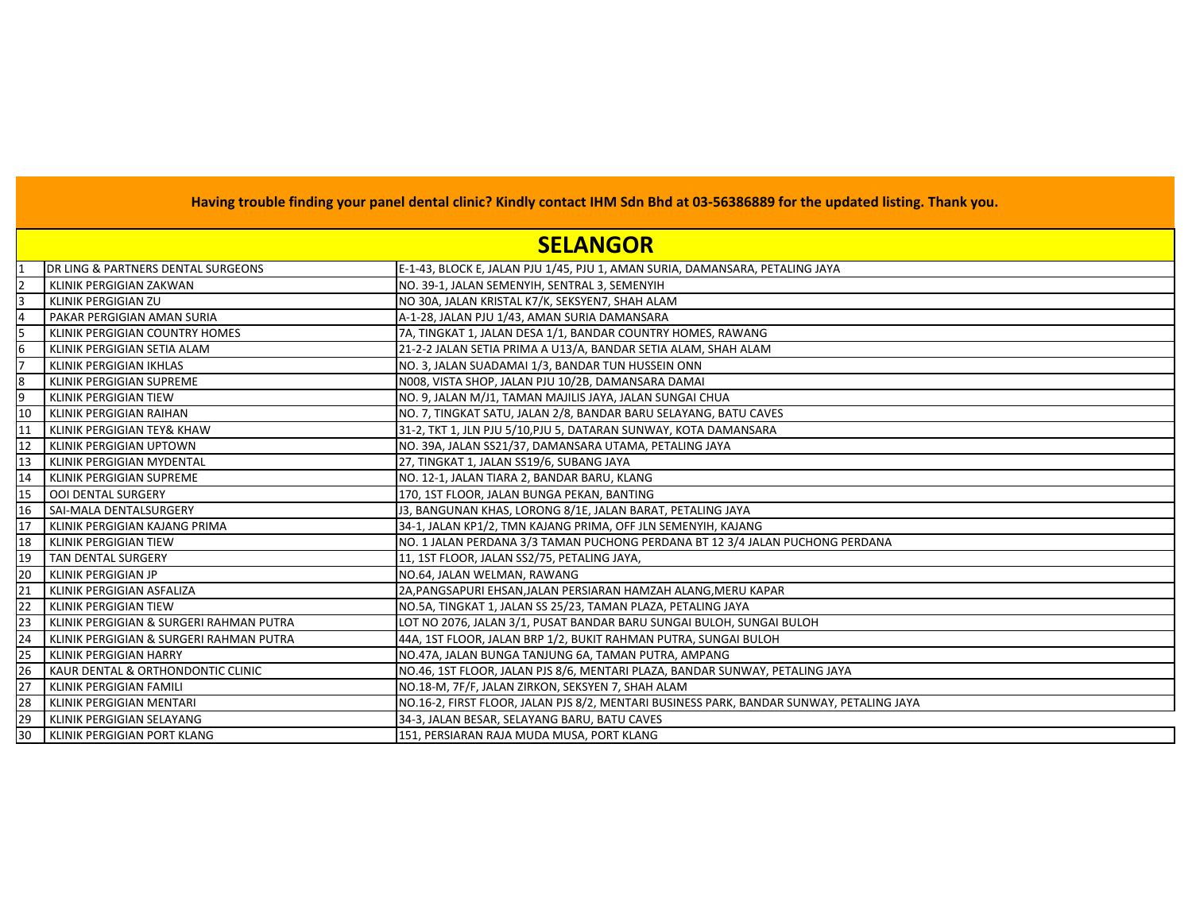|    | Having trouble finding your panel dental clinic? Kindly contact IHM Sdn Bhd at 03-56386889 for the updated listing. Thank you. |                                                                                          |  |  |
|----|--------------------------------------------------------------------------------------------------------------------------------|------------------------------------------------------------------------------------------|--|--|
|    | <b>SELANGOR</b>                                                                                                                |                                                                                          |  |  |
|    | DR LING & PARTNERS DENTAL SURGEONS                                                                                             | E-1-43, BLOCK E, JALAN PJU 1/45, PJU 1, AMAN SURIA, DAMANSARA, PETALING JAYA             |  |  |
|    | KLINIK PERGIGIAN ZAKWAN                                                                                                        | NO. 39-1, JALAN SEMENYIH, SENTRAL 3, SEMENYIH                                            |  |  |
| l3 | KLINIK PERGIGIAN ZU                                                                                                            | NO 30A, JALAN KRISTAL K7/K, SEKSYEN7, SHAH ALAM                                          |  |  |
|    | PAKAR PERGIGIAN AMAN SURIA                                                                                                     | A-1-28, JALAN PJU 1/43, AMAN SURIA DAMANSARA                                             |  |  |
| 15 | KLINIK PERGIGIAN COUNTRY HOMES                                                                                                 | 7A, TINGKAT 1, JALAN DESA 1/1, BANDAR COUNTRY HOMES, RAWANG                              |  |  |
| 16 | KLINIK PERGIGIAN SETIA ALAM                                                                                                    | 21-2-2 JALAN SETIA PRIMA A U13/A, BANDAR SETIA ALAM, SHAH ALAM                           |  |  |
|    | KLINIK PERGIGIAN IKHLAS                                                                                                        | NO. 3, JALAN SUADAMAI 1/3, BANDAR TUN HUSSEIN ONN                                        |  |  |
| 8  | KLINIK PERGIGIAN SUPREME                                                                                                       | N008, VISTA SHOP, JALAN PJU 10/2B, DAMANSARA DAMAI                                       |  |  |
| 9  | KLINIK PERGIGIAN TIEW                                                                                                          | NO. 9, JALAN M/J1, TAMAN MAJILIS JAYA, JALAN SUNGAI CHUA                                 |  |  |
| 10 | KLINIK PERGIGIAN RAIHAN                                                                                                        | NO. 7, TINGKAT SATU, JALAN 2/8, BANDAR BARU SELAYANG, BATU CAVES                         |  |  |
| 11 | KLINIK PERGIGIAN TEY& KHAW                                                                                                     | 31-2, TKT 1, JLN PJU 5/10, PJU 5, DATARAN SUNWAY, KOTA DAMANSARA                         |  |  |
| 12 | <b>KLINIK PERGIGIAN UPTOWN</b>                                                                                                 | NO. 39A, JALAN SS21/37, DAMANSARA UTAMA, PETALING JAYA                                   |  |  |
| 13 | KLINIK PERGIGIAN MYDENTAL                                                                                                      | 27, TINGKAT 1, JALAN SS19/6, SUBANG JAYA                                                 |  |  |
| 14 | KLINIK PERGIGIAN SUPREME                                                                                                       | NO. 12-1, JALAN TIARA 2, BANDAR BARU, KLANG                                              |  |  |
| 15 | <b>OOI DENTAL SURGERY</b>                                                                                                      | 170, 1ST FLOOR, JALAN BUNGA PEKAN, BANTING                                               |  |  |
| 16 | SAI-MALA DENTALSURGERY                                                                                                         | J3, BANGUNAN KHAS, LORONG 8/1E, JALAN BARAT, PETALING JAYA                               |  |  |
| 17 | KLINIK PERGIGIAN KAJANG PRIMA                                                                                                  | 34-1, JALAN KP1/2, TMN KAJANG PRIMA, OFF JLN SEMENYIH, KAJANG                            |  |  |
| 18 | <b>KLINIK PERGIGIAN TIEW</b>                                                                                                   | NO. 1 JALAN PERDANA 3/3 TAMAN PUCHONG PERDANA BT 12 3/4 JALAN PUCHONG PERDANA            |  |  |
| 19 | TAN DENTAL SURGERY                                                                                                             | 11, 1ST FLOOR, JALAN SS2/75, PETALING JAYA,                                              |  |  |
| 20 | <b>KLINIK PERGIGIAN JP</b>                                                                                                     | NO.64, JALAN WELMAN, RAWANG                                                              |  |  |
| 2: | KLINIK PERGIGIAN ASFALIZA                                                                                                      | 2A,PANGSAPURI EHSAN,JALAN PERSIARAN HAMZAH ALANG,MERU KAPAR                              |  |  |
| 22 | KLINIK PERGIGIAN TIEW                                                                                                          | NO.5A, TINGKAT 1, JALAN SS 25/23, TAMAN PLAZA, PETALING JAYA                             |  |  |
| 23 | KLINIK PERGIGIAN & SURGERI RAHMAN PUTRA                                                                                        | LOT NO 2076, JALAN 3/1, PUSAT BANDAR BARU SUNGAI BULOH, SUNGAI BULOH                     |  |  |
| 24 | KLINIK PERGIGIAN & SURGERI RAHMAN PUTRA                                                                                        | 44A, 1ST FLOOR, JALAN BRP 1/2, BUKIT RAHMAN PUTRA, SUNGAI BULOH                          |  |  |
| 25 | <b>KLINIK PERGIGIAN HARRY</b>                                                                                                  | NO.47A, JALAN BUNGA TANJUNG 6A, TAMAN PUTRA, AMPANG                                      |  |  |
| 26 | KAUR DENTAL & ORTHONDONTIC CLINIC                                                                                              | NO.46, 1ST FLOOR, JALAN PJS 8/6, MENTARI PLAZA, BANDAR SUNWAY, PETALING JAYA             |  |  |
| 27 | KLINIK PERGIGIAN FAMILI                                                                                                        | NO.18-M, 7F/F, JALAN ZIRKON, SEKSYEN 7, SHAH ALAM                                        |  |  |
| 28 | KLINIK PERGIGIAN MENTARI                                                                                                       | NO.16-2, FIRST FLOOR, JALAN PJS 8/2, MENTARI BUSINESS PARK, BANDAR SUNWAY, PETALING JAYA |  |  |
| 29 | KLINIK PERGIGIAN SELAYANG                                                                                                      | 34-3, JALAN BESAR, SELAYANG BARU, BATU CAVES                                             |  |  |
| 30 | KLINIK PERGIGIAN PORT KLANG                                                                                                    | 151, PERSIARAN RAJA MUDA MUSA, PORT KLANG                                                |  |  |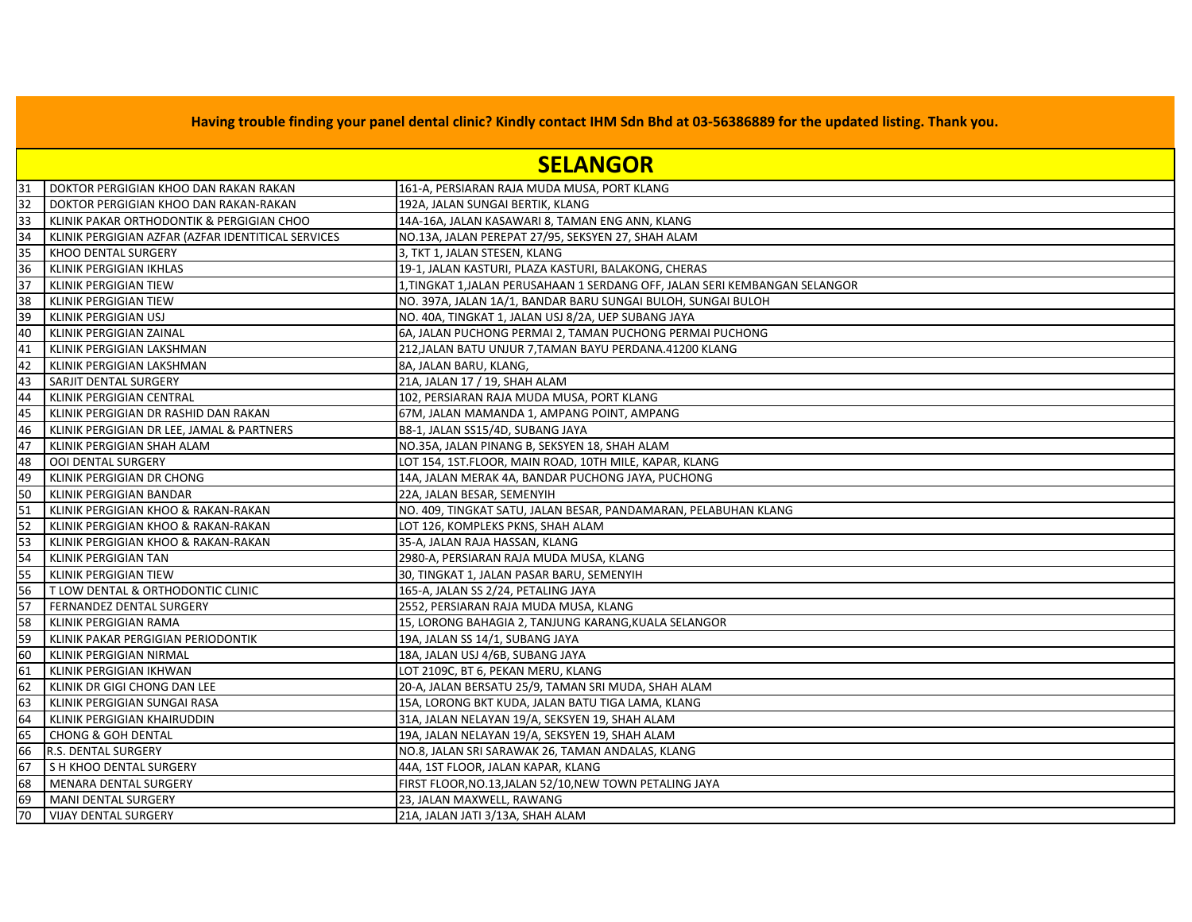|                 | <b>SELANGOR</b>                                    |                                                                           |  |  |  |
|-----------------|----------------------------------------------------|---------------------------------------------------------------------------|--|--|--|
| 31              | DOKTOR PERGIGIAN KHOO DAN RAKAN RAKAN              | 161-A, PERSIARAN RAJA MUDA MUSA, PORT KLANG                               |  |  |  |
| 32              | DOKTOR PERGIGIAN KHOO DAN RAKAN-RAKAN              | 192A, JALAN SUNGAI BERTIK, KLANG                                          |  |  |  |
| 33              | KLINIK PAKAR ORTHODONTIK & PERGIGIAN CHOO          | 14A-16A, JALAN KASAWARI 8, TAMAN ENG ANN, KLANG                           |  |  |  |
| 34              | KLINIK PERGIGIAN AZFAR (AZFAR IDENTITICAL SERVICES | NO.13A, JALAN PEREPAT 27/95, SEKSYEN 27, SHAH ALAM                        |  |  |  |
| 35              | KHOO DENTAL SURGERY                                | 3, TKT 1, JALAN STESEN, KLANG                                             |  |  |  |
| 36              | KLINIK PERGIGIAN IKHLAS                            | 19-1, JALAN KASTURI, PLAZA KASTURI, BALAKONG, CHERAS                      |  |  |  |
| 37              | KLINIK PERGIGIAN TIEW                              | 1,TINGKAT 1,JALAN PERUSAHAAN 1 SERDANG OFF, JALAN SERI KEMBANGAN SELANGOR |  |  |  |
| 38              | <b>KLINIK PERGIGIAN TIEW</b>                       | NO. 397A, JALAN 1A/1, BANDAR BARU SUNGAI BULOH, SUNGAI BULOH              |  |  |  |
| 39              | KLINIK PERGIGIAN USJ                               | NO. 40A, TINGKAT 1, JALAN USJ 8/2A, UEP SUBANG JAYA                       |  |  |  |
| 40              | KLINIK PERGIGIAN ZAINAL                            | 6A, JALAN PUCHONG PERMAI 2, TAMAN PUCHONG PERMAI PUCHONG                  |  |  |  |
| 41              | KLINIK PERGIGIAN LAKSHMAN                          | 212,JALAN BATU UNJUR 7,TAMAN BAYU PERDANA.41200 KLANG                     |  |  |  |
| 42              | KLINIK PERGIGIAN LAKSHMAN                          | 8A, JALAN BARU, KLANG,                                                    |  |  |  |
| 43              | SARJIT DENTAL SURGERY                              | 21A, JALAN 17 / 19, SHAH ALAM                                             |  |  |  |
| 44              | KLINIK PERGIGIAN CENTRAL                           | 102, PERSIARAN RAJA MUDA MUSA, PORT KLANG                                 |  |  |  |
| 45              | KLINIK PERGIGIAN DR RASHID DAN RAKAN               | 67M, JALAN MAMANDA 1, AMPANG POINT, AMPANG                                |  |  |  |
| 46              | KLINIK PERGIGIAN DR LEE, JAMAL & PARTNERS          | B8-1, JALAN SS15/4D, SUBANG JAYA                                          |  |  |  |
| 47              | KLINIK PERGIGIAN SHAH ALAM                         | NO.35A, JALAN PINANG B, SEKSYEN 18, SHAH ALAM                             |  |  |  |
| 48              | <b>OOI DENTAL SURGERY</b>                          | LOT 154, 1ST.FLOOR, MAIN ROAD, 10TH MILE, KAPAR, KLANG                    |  |  |  |
| 49              | KLINIK PERGIGIAN DR CHONG                          | 14A, JALAN MERAK 4A, BANDAR PUCHONG JAYA, PUCHONG                         |  |  |  |
| 50              | KLINIK PERGIGIAN BANDAR                            | 22A, JALAN BESAR, SEMENYIH                                                |  |  |  |
| $\overline{51}$ | KLINIK PERGIGIAN KHOO & RAKAN-RAKAN                | NO. 409, TINGKAT SATU, JALAN BESAR, PANDAMARAN, PELABUHAN KLANG           |  |  |  |
| 52              | KLINIK PERGIGIAN KHOO & RAKAN-RAKAN                | LOT 126, KOMPLEKS PKNS, SHAH ALAM                                         |  |  |  |
| 53              | KLINIK PERGIGIAN KHOO & RAKAN-RAKAN                | 35-A, JALAN RAJA HASSAN, KLANG                                            |  |  |  |
| 54              | KLINIK PERGIGIAN TAN                               | 2980-A, PERSIARAN RAJA MUDA MUSA, KLANG                                   |  |  |  |
| 55              | KLINIK PERGIGIAN TIEW                              | 30, TINGKAT 1, JALAN PASAR BARU, SEMENYIH                                 |  |  |  |
| 56              | T LOW DENTAL & ORTHODONTIC CLINIC                  | 165-A, JALAN SS 2/24, PETALING JAYA                                       |  |  |  |
| 57              | FERNANDEZ DENTAL SURGERY                           | 2552, PERSIARAN RAJA MUDA MUSA, KLANG                                     |  |  |  |
| 58              | KLINIK PERGIGIAN RAMA                              | 15, LORONG BAHAGIA 2, TANJUNG KARANG, KUALA SELANGOR                      |  |  |  |
| 59              | KLINIK PAKAR PERGIGIAN PERIODONTIK                 | 19A, JALAN SS 14/1, SUBANG JAYA                                           |  |  |  |
| 60              | KLINIK PERGIGIAN NIRMAL                            | 18A, JALAN USJ 4/6B, SUBANG JAYA                                          |  |  |  |
| 61              | <b>KLINIK PERGIGIAN IKHWAN</b>                     | LOT 2109C, BT 6, PEKAN MERU, KLANG                                        |  |  |  |
| 62              | KLINIK DR GIGI CHONG DAN LEE                       | 20-A, JALAN BERSATU 25/9, TAMAN SRI MUDA, SHAH ALAM                       |  |  |  |
| 63              | KLINIK PERGIGIAN SUNGAI RASA                       | 15A, LORONG BKT KUDA, JALAN BATU TIGA LAMA, KLANG                         |  |  |  |
| 64              | KLINIK PERGIGIAN KHAIRUDDIN                        | 31A, JALAN NELAYAN 19/A, SEKSYEN 19, SHAH ALAM                            |  |  |  |
| 65              | <b>CHONG &amp; GOH DENTAL</b>                      | 19A, JALAN NELAYAN 19/A, SEKSYEN 19, SHAH ALAM                            |  |  |  |
| 66              | <b>R.S. DENTAL SURGERY</b>                         | NO.8, JALAN SRI SARAWAK 26, TAMAN ANDALAS, KLANG                          |  |  |  |
| 67              | S H KHOO DENTAL SURGERY                            | 44A, 1ST FLOOR, JALAN KAPAR, KLANG                                        |  |  |  |
| 68              | MENARA DENTAL SURGERY                              | FIRST FLOOR, NO.13, JALAN 52/10, NEW TOWN PETALING JAYA                   |  |  |  |
| 69              | MANI DENTAL SURGERY                                | 23, JALAN MAXWELL, RAWANG                                                 |  |  |  |
| 70              | <b>VIJAY DENTAL SURGERY</b>                        | 21A, JALAN JATI 3/13A, SHAH ALAM                                          |  |  |  |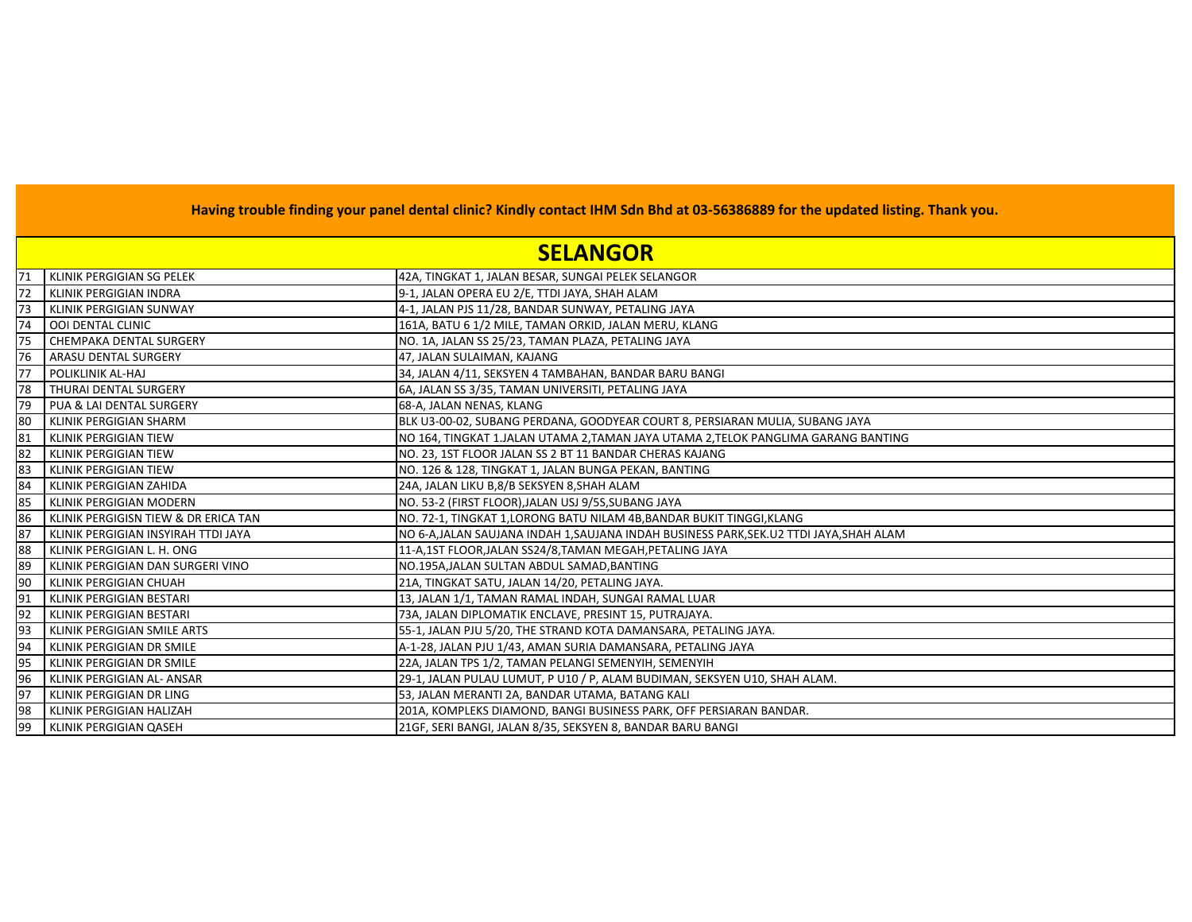|             | <b>SELANGOR</b>                      |                                                                                     |  |  |
|-------------|--------------------------------------|-------------------------------------------------------------------------------------|--|--|
| 171         | KLINIK PERGIGIAN SG PELEK            | 42A, TINGKAT 1, JALAN BESAR, SUNGAI PELEK SELANGOR                                  |  |  |
| 72          | <b>KLINIK PERGIGIAN INDRA</b>        | 9-1, JALAN OPERA EU 2/E, TTDI JAYA, SHAH ALAM                                       |  |  |
| 73          | <b>KLINIK PERGIGIAN SUNWAY</b>       | 4-1, JALAN PJS 11/28, BANDAR SUNWAY, PETALING JAYA                                  |  |  |
| 74          | <b>OOI DENTAL CLINIC</b>             | 161A, BATU 6 1/2 MILE, TAMAN ORKID, JALAN MERU, KLANG                               |  |  |
| 75          | <b>CHEMPAKA DENTAL SURGERY</b>       | NO. 1A, JALAN SS 25/23, TAMAN PLAZA, PETALING JAYA                                  |  |  |
| 76          | ARASU DENTAL SURGERY                 | 47, JALAN SULAIMAN, KAJANG                                                          |  |  |
| <b>1</b> 77 | POLIKLINIK AL-HAJ                    | 34, JALAN 4/11, SEKSYEN 4 TAMBAHAN, BANDAR BARU BANGI                               |  |  |
| 78          | THURAI DENTAL SURGERY                | 6A, JALAN SS 3/35, TAMAN UNIVERSITI, PETALING JAYA                                  |  |  |
| 79          | PUA & LAI DENTAL SURGERY             | 68-A, JALAN NENAS, KLANG                                                            |  |  |
| 80          | <b>KLINIK PERGIGIAN SHARM</b>        | BLK U3-00-02, SUBANG PERDANA, GOODYEAR COURT 8, PERSIARAN MULIA, SUBANG JAYA        |  |  |
| 81          | KLINIK PERGIGIAN TIEW                | NO 164, TINGKAT 1.JALAN UTAMA 2,TAMAN JAYA UTAMA 2,TELOK PANGLIMA GARANG BANTING    |  |  |
| 82          | <b>KLINIK PERGIGIAN TIEW</b>         | NO. 23, 1ST FLOOR JALAN SS 2 BT 11 BANDAR CHERAS KAJANG                             |  |  |
| 83          | <b>KLINIK PERGIGIAN TIEW</b>         | NO. 126 & 128, TINGKAT 1, JALAN BUNGA PEKAN, BANTING                                |  |  |
| 84          | KLINIK PERGIGIAN ZAHIDA              | 24A, JALAN LIKU B,8/B SEKSYEN 8,SHAH ALAM                                           |  |  |
| 85          | <b>KLINIK PERGIGIAN MODERN</b>       | NO. 53-2 (FIRST FLOOR), JALAN USJ 9/5S, SUBANG JAYA                                 |  |  |
| 86          | KLINIK PERGIGISN TIEW & DR ERICA TAN | NO. 72-1, TINGKAT 1, LORONG BATU NILAM 4B, BANDAR BUKIT TINGGI, KLANG               |  |  |
| 87          | KLINIK PERGIGIAN INSYIRAH TTDI JAYA  | NO 6-A,JALAN SAUJANA INDAH 1,SAUJANA INDAH BUSINESS PARK,SEK.U2 TTDI JAYA,SHAH ALAM |  |  |
| 88          | KLINIK PERGIGIAN L. H. ONG           | 11-A,1ST FLOOR, JALAN SS24/8, TAMAN MEGAH, PETALING JAYA                            |  |  |
| 89          | KLINIK PERGIGIAN DAN SURGERI VINO    | NO.195A, JALAN SULTAN ABDUL SAMAD, BANTING                                          |  |  |
| 90          | KLINIK PERGIGIAN CHUAH               | 21A, TINGKAT SATU, JALAN 14/20, PETALING JAYA.                                      |  |  |
| 91          | KLINIK PERGIGIAN BESTARI             | 13, JALAN 1/1, TAMAN RAMAL INDAH, SUNGAI RAMAL LUAR                                 |  |  |
| 92          | KLINIK PERGIGIAN BESTARI             | 73A, JALAN DIPLOMATIK ENCLAVE, PRESINT 15, PUTRAJAYA.                               |  |  |
| 93          | KLINIK PERGIGIAN SMILE ARTS          | 55-1, JALAN PJU 5/20, THE STRAND KOTA DAMANSARA, PETALING JAYA.                     |  |  |
| 94          | KLINIK PERGIGIAN DR SMILE            | A-1-28, JALAN PJU 1/43, AMAN SURIA DAMANSARA, PETALING JAYA                         |  |  |
| 95          | KLINIK PERGIGIAN DR SMILE            | 22A, JALAN TPS 1/2, TAMAN PELANGI SEMENYIH, SEMENYIH                                |  |  |
| 96          | KLINIK PERGIGIAN AL- ANSAR           | 29-1, JALAN PULAU LUMUT, P U10 / P, ALAM BUDIMAN, SEKSYEN U10, SHAH ALAM.           |  |  |
| 97          | KLINIK PERGIGIAN DR LING             | 53, JALAN MERANTI 2A, BANDAR UTAMA, BATANG KALI                                     |  |  |
| 98          | KLINIK PERGIGIAN HALIZAH             | 201A, KOMPLEKS DIAMOND, BANGI BUSINESS PARK, OFF PERSIARAN BANDAR.                  |  |  |
| 99          | <b>KLINIK PERGIGIAN QASEH</b>        | 21GF, SERI BANGI, JALAN 8/35, SEKSYEN 8, BANDAR BARU BANGI                          |  |  |